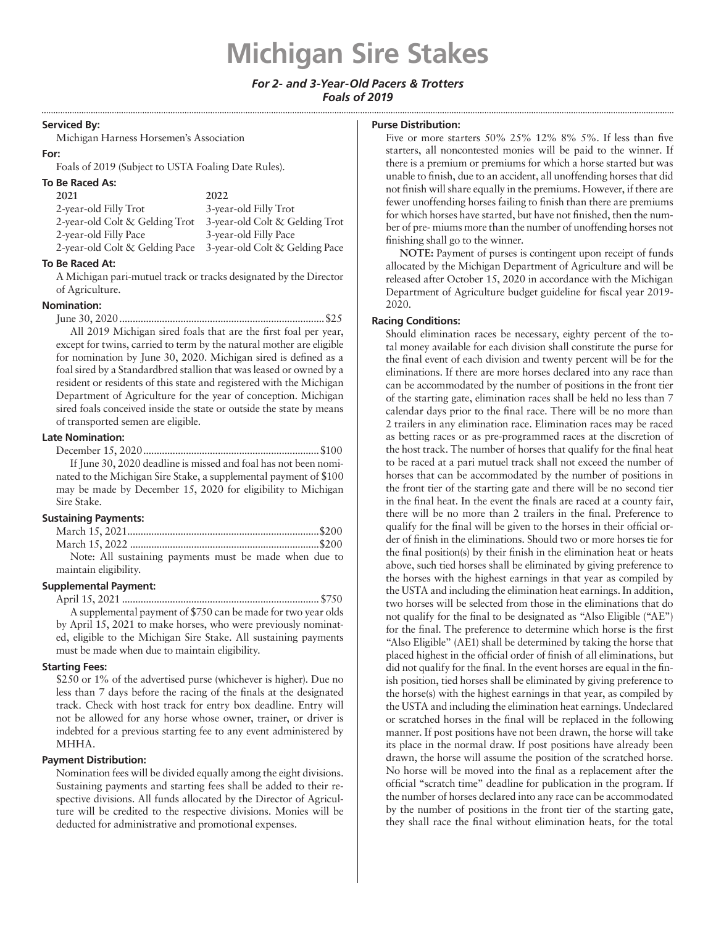# **Michigan Sire Stakes**

# *For 2- and 3-Year-Old Pacers & Trotters Foals of 2019*

#### **Serviced By:**

Michigan Harness Horsemen's Association

# **For:**

Foals of 2019 (Subject to USTA Foaling Date Rules).

# **To Be Raced As:**

| 2021                           | 2022                           |
|--------------------------------|--------------------------------|
| 2-year-old Filly Trot          | 3-year-old Filly Trot          |
| 2-year-old Colt & Gelding Trot | 3-year-old Colt & Gelding Trot |
| 2-year-old Filly Pace          | 3-year-old Filly Pace          |
| 2-year-old Colt & Gelding Pace | 3-year-old Colt & Gelding Pace |
|                                |                                |

# **To Be Raced At:**

A Michigan pari-mutuel track or tracks designated by the Director of Agriculture.

# **Nomination:**

June 30, 2020.............................................................................\$25 All 2019 Michigan sired foals that are the first foal per year, except for twins, carried to term by the natural mother are eligible for nomination by June 30, 2020. Michigan sired is defined as a foal sired by a Standardbred stallion that was leased or owned by a resident or residents of this state and registered with the Michigan Department of Agriculture for the year of conception. Michigan sired foals conceived inside the state or outside the state by means of transported semen are eligible.

#### **Late Nomination:**

December 15, 2020..................................................................\$100 If June 30, 2020 deadline is missed and foal has not been nominated to the Michigan Sire Stake, a supplemental payment of \$100 may be made by December 15, 2020 for eligibility to Michigan Sire Stake.

# **Sustaining Payments:**

| Note: All sustaining payments must be made when due to |
|--------------------------------------------------------|
| maintain eligibility.                                  |

# **Supplemental Payment:**

April 15, 2021 ..........................................................................\$750 A supplemental payment of \$750 can be made for two year olds by April 15, 2021 to make horses, who were previously nominated, eligible to the Michigan Sire Stake. All sustaining payments must be made when due to maintain eligibility.

# **Starting Fees:**

\$250 or 1% of the advertised purse (whichever is higher). Due no less than 7 days before the racing of the finals at the designated track. Check with host track for entry box deadline. Entry will not be allowed for any horse whose owner, trainer, or driver is indebted for a previous starting fee to any event administered by MHHA.

# **Payment Distribution:**

Nomination fees will be divided equally among the eight divisions. Sustaining payments and starting fees shall be added to their respective divisions. All funds allocated by the Director of Agriculture will be credited to the respective divisions. Monies will be deducted for administrative and promotional expenses.

#### **Purse Distribution:**

Five or more starters 50% 25% 12% 8% 5%. If less than five starters, all noncontested monies will be paid to the winner. If there is a premium or premiums for which a horse started but was unable to finish, due to an accident, all unoffending horses that did not finish will share equally in the premiums. However, if there are fewer unoffending horses failing to finish than there are premiums for which horses have started, but have not finished, then the number of pre- miums more than the number of unoffending horses not finishing shall go to the winner.

**NOTE:** Payment of purses is contingent upon receipt of funds allocated by the Michigan Department of Agriculture and will be released after October 15, 2020 in accordance with the Michigan Department of Agriculture budget guideline for fiscal year 2019- 2020.

# **Racing Conditions:**

Should elimination races be necessary, eighty percent of the total money available for each division shall constitute the purse for the final event of each division and twenty percent will be for the eliminations. If there are more horses declared into any race than can be accommodated by the number of positions in the front tier of the starting gate, elimination races shall be held no less than 7 calendar days prior to the final race. There will be no more than 2 trailers in any elimination race. Elimination races may be raced as betting races or as pre-programmed races at the discretion of the host track. The number of horses that qualify for the final heat to be raced at a pari mutuel track shall not exceed the number of horses that can be accommodated by the number of positions in the front tier of the starting gate and there will be no second tier in the final heat. In the event the finals are raced at a county fair, there will be no more than 2 trailers in the final. Preference to qualify for the final will be given to the horses in their official order of finish in the eliminations. Should two or more horses tie for the final position(s) by their finish in the elimination heat or heats above, such tied horses shall be eliminated by giving preference to the horses with the highest earnings in that year as compiled by the USTA and including the elimination heat earnings. In addition, two horses will be selected from those in the eliminations that do not qualify for the final to be designated as "Also Eligible ("AE") for the final. The preference to determine which horse is the first "Also Eligible" (AE1) shall be determined by taking the horse that placed highest in the official order of finish of all eliminations, but did not qualify for the final. In the event horses are equal in the finish position, tied horses shall be eliminated by giving preference to the horse(s) with the highest earnings in that year, as compiled by the USTA and including the elimination heat earnings. Undeclared or scratched horses in the final will be replaced in the following manner. If post positions have not been drawn, the horse will take its place in the normal draw. If post positions have already been drawn, the horse will assume the position of the scratched horse. No horse will be moved into the final as a replacement after the official "scratch time" deadline for publication in the program. If the number of horses declared into any race can be accommodated by the number of positions in the front tier of the starting gate, they shall race the final without elimination heats, for the total